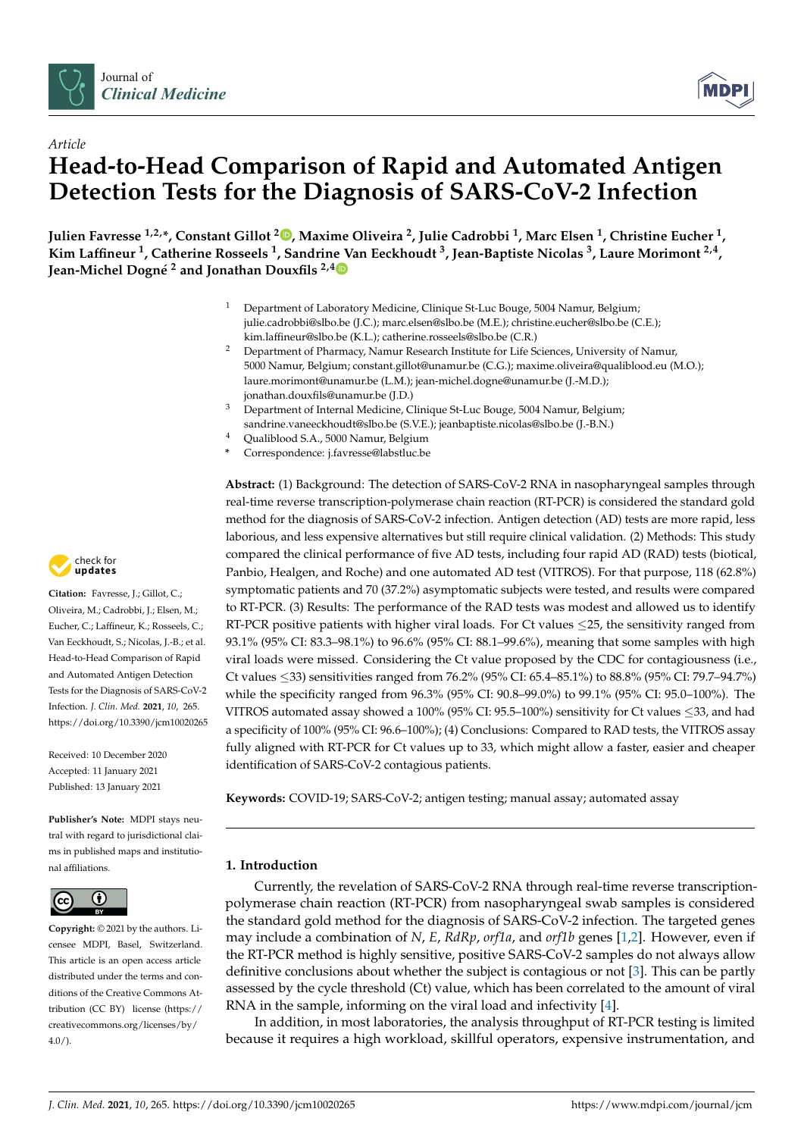



# *Article* **Head-to-Head Comparison of Rapid and Automated Antigen Detection Tests for the Diagnosis of SARS-CoV-2 Infection**

**Julien Favresse 1,2,\*, Constant Gillot <sup>2</sup> [,](https://orcid.org/0000-0002-4151-9760) Maxime Oliveira <sup>2</sup> , Julie Cadrobbi <sup>1</sup> , Marc Elsen <sup>1</sup> , Christine Eucher <sup>1</sup> , Kim Laffineur <sup>1</sup> , Catherine Rosseels <sup>1</sup> , Sandrine Van Eeckhoudt <sup>3</sup> , Jean-Baptiste Nicolas <sup>3</sup> , Laure Morimont 2,4 , Jean-Michel Dogné <sup>2</sup> and Jonathan Douxfils 2,[4](https://orcid.org/0000-0002-7644-5298)**

- <sup>1</sup> Department of Laboratory Medicine, Clinique St-Luc Bouge, 5004 Namur, Belgium; julie.cadrobbi@slbo.be (J.C.); marc.elsen@slbo.be (M.E.); christine.eucher@slbo.be (C.E.); kim.laffineur@slbo.be (K.L.); catherine.rosseels@slbo.be (C.R.)
- <sup>2</sup> Department of Pharmacy, Namur Research Institute for Life Sciences, University of Namur, 5000 Namur, Belgium; constant.gillot@unamur.be (C.G.); maxime.oliveira@qualiblood.eu (M.O.); laure.morimont@unamur.be (L.M.); jean-michel.dogne@unamur.be (J.-M.D.); jonathan.douxfils@unamur.be (J.D.)
- $3$  Department of Internal Medicine, Clinique St-Luc Bouge, 5004 Namur, Belgium; sandrine.vaneeckhoudt@slbo.be (S.V.E.); jeanbaptiste.nicolas@slbo.be (J.-B.N.)
- <sup>4</sup> Qualiblood S.A., 5000 Namur, Belgium
- **\*** Correspondence: j.favresse@labstluc.be

**Abstract:** (1) Background: The detection of SARS-CoV-2 RNA in nasopharyngeal samples through real-time reverse transcription-polymerase chain reaction (RT-PCR) is considered the standard gold method for the diagnosis of SARS-CoV-2 infection. Antigen detection (AD) tests are more rapid, less laborious, and less expensive alternatives but still require clinical validation. (2) Methods: This study compared the clinical performance of five AD tests, including four rapid AD (RAD) tests (biotical, Panbio, Healgen, and Roche) and one automated AD test (VITROS). For that purpose, 118 (62.8%) symptomatic patients and 70 (37.2%) asymptomatic subjects were tested, and results were compared to RT-PCR. (3) Results: The performance of the RAD tests was modest and allowed us to identify RT-PCR positive patients with higher viral loads. For Ct values  $\leq$ 25, the sensitivity ranged from 93.1% (95% CI: 83.3–98.1%) to 96.6% (95% CI: 88.1–99.6%), meaning that some samples with high viral loads were missed. Considering the Ct value proposed by the CDC for contagiousness (i.e., Ct values ≤33) sensitivities ranged from 76.2% (95% CI: 65.4–85.1%) to 88.8% (95% CI: 79.7–94.7%) while the specificity ranged from 96.3% (95% CI: 90.8–99.0%) to 99.1% (95% CI: 95.0–100%). The VITROS automated assay showed a 100% (95% CI: 95.5–100%) sensitivity for Ct values ≤33, and had a specificity of 100% (95% CI: 96.6–100%); (4) Conclusions: Compared to RAD tests, the VITROS assay fully aligned with RT-PCR for Ct values up to 33, which might allow a faster, easier and cheaper identification of SARS-CoV-2 contagious patients.

**Keywords:** COVID-19; SARS-CoV-2; antigen testing; manual assay; automated assay

# **1. Introduction**

Currently, the revelation of SARS-CoV-2 RNA through real-time reverse transcriptionpolymerase chain reaction (RT-PCR) from nasopharyngeal swab samples is considered the standard gold method for the diagnosis of SARS-CoV-2 infection. The targeted genes may include a combination of *N*, *E*, *RdRp*, *orf1a*, and *orf1b* genes [\[1,](#page-7-0)[2\]](#page-7-1). However, even if the RT-PCR method is highly sensitive, positive SARS-CoV-2 samples do not always allow definitive conclusions about whether the subject is contagious or not [\[3\]](#page-7-2). This can be partly assessed by the cycle threshold (Ct) value, which has been correlated to the amount of viral RNA in the sample, informing on the viral load and infectivity [\[4\]](#page-8-0).

In addition, in most laboratories, the analysis throughput of RT-PCR testing is limited because it requires a high workload, skillful operators, expensive instrumentation, and



**Citation:** Favresse, J.; Gillot, C.; Oliveira, M.; Cadrobbi, J.; Elsen, M.; Eucher, C.; Laffineur, K.; Rosseels, C.; Van Eeckhoudt, S.; Nicolas, J.-B.; et al. Head-to-Head Comparison of Rapid and Automated Antigen Detection Tests for the Diagnosis of SARS-CoV-2 Infection. *J. Clin. Med.* **2021**, *10*, 265. <https://doi.org/10.3390/jcm10020265>

Received: 10 December 2020 Accepted: 11 January 2021 Published: 13 January 2021

**Publisher's Note:** MDPI stays neutral with regard to jurisdictional claims in published maps and institutional affiliations.



**Copyright:** © 2021 by the authors. Licensee MDPI, Basel, Switzerland. This article is an open access article distributed under the terms and conditions of the Creative Commons Attribution (CC BY) license [\(https://](https://creativecommons.org/licenses/by/4.0/) [creativecommons.org/licenses/by/](https://creativecommons.org/licenses/by/4.0/)  $4.0/$ ).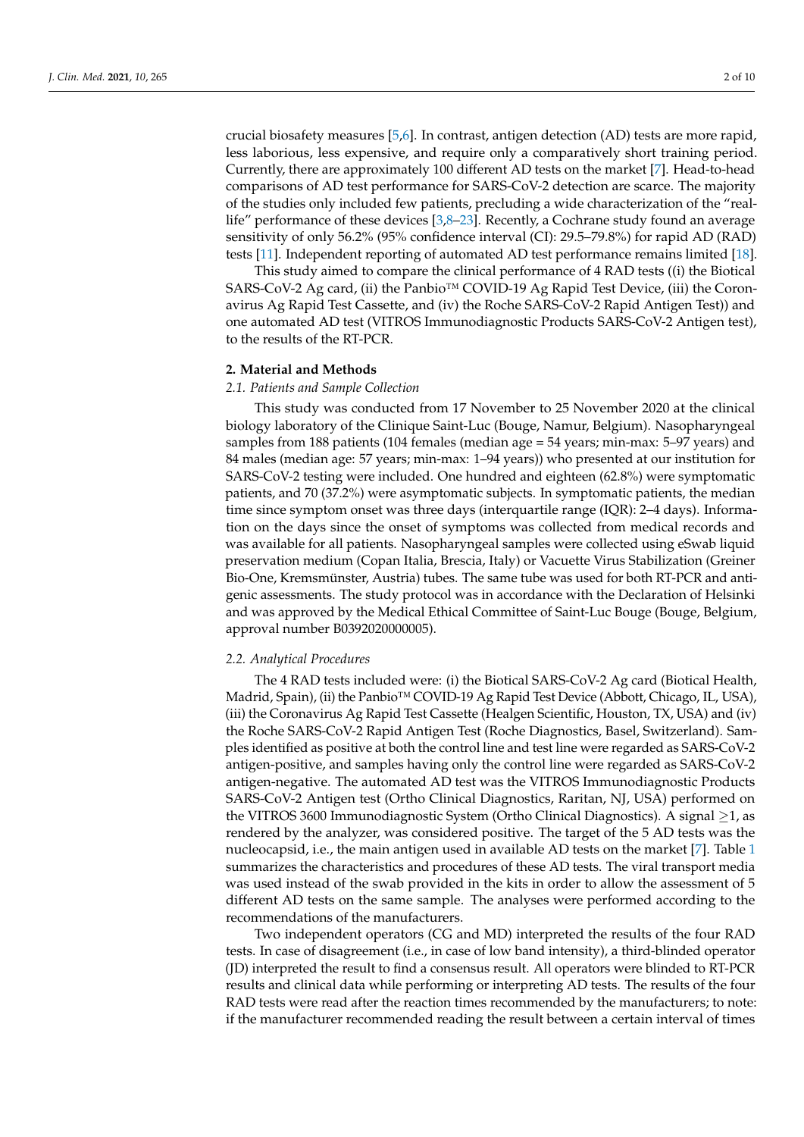crucial biosafety measures [\[5,](#page-8-1)[6\]](#page-8-2). In contrast, antigen detection (AD) tests are more rapid, less laborious, less expensive, and require only a comparatively short training period. Currently, there are approximately 100 different AD tests on the market [\[7\]](#page-8-3). Head-to-head comparisons of AD test performance for SARS-CoV-2 detection are scarce. The majority of the studies only included few patients, precluding a wide characterization of the "reallife" performance of these devices [\[3,](#page-7-2)[8–](#page-8-4)[23\]](#page-8-5). Recently, a Cochrane study found an average sensitivity of only 56.2% (95% confidence interval (CI): 29.5–79.8%) for rapid AD (RAD) tests [\[11\]](#page-8-6). Independent reporting of automated AD test performance remains limited [\[18\]](#page-8-7).

This study aimed to compare the clinical performance of 4 RAD tests ((i) the Biotical SARS-CoV-2 Ag card, (ii) the Panbio™ COVID-19 Ag Rapid Test Device, (iii) the Coronavirus Ag Rapid Test Cassette, and (iv) the Roche SARS-CoV-2 Rapid Antigen Test)) and one automated AD test (VITROS Immunodiagnostic Products SARS-CoV-2 Antigen test), to the results of the RT-PCR.

### **2. Material and Methods**

### *2.1. Patients and Sample Collection*

This study was conducted from 17 November to 25 November 2020 at the clinical biology laboratory of the Clinique Saint-Luc (Bouge, Namur, Belgium). Nasopharyngeal samples from 188 patients (104 females (median age = 54 years; min-max: 5–97 years) and 84 males (median age: 57 years; min-max: 1–94 years)) who presented at our institution for SARS-CoV-2 testing were included. One hundred and eighteen (62.8%) were symptomatic patients, and 70 (37.2%) were asymptomatic subjects. In symptomatic patients, the median time since symptom onset was three days (interquartile range (IQR): 2–4 days). Information on the days since the onset of symptoms was collected from medical records and was available for all patients. Nasopharyngeal samples were collected using eSwab liquid preservation medium (Copan Italia, Brescia, Italy) or Vacuette Virus Stabilization (Greiner Bio-One, Kremsmünster, Austria) tubes. The same tube was used for both RT-PCR and antigenic assessments. The study protocol was in accordance with the Declaration of Helsinki and was approved by the Medical Ethical Committee of Saint-Luc Bouge (Bouge, Belgium, approval number B0392020000005).

### *2.2. Analytical Procedures*

The 4 RAD tests included were: (i) the Biotical SARS-CoV-2 Ag card (Biotical Health, Madrid, Spain), (ii) the Panbio™ COVID-19 Ag Rapid Test Device (Abbott, Chicago, IL, USA), (iii) the Coronavirus Ag Rapid Test Cassette (Healgen Scientific, Houston, TX, USA) and (iv) the Roche SARS-CoV-2 Rapid Antigen Test (Roche Diagnostics, Basel, Switzerland). Samples identified as positive at both the control line and test line were regarded as SARS-CoV-2 antigen-positive, and samples having only the control line were regarded as SARS-CoV-2 antigen-negative. The automated AD test was the VITROS Immunodiagnostic Products SARS-CoV-2 Antigen test (Ortho Clinical Diagnostics, Raritan, NJ, USA) performed on the VITROS 3600 Immunodiagnostic System (Ortho Clinical Diagnostics). A signal ≥1, as rendered by the analyzer, was considered positive. The target of the 5 AD tests was the nucleocapsid, i.e., the main antigen used in available AD tests on the market [\[7\]](#page-8-3). Table [1](#page-2-0) summarizes the characteristics and procedures of these AD tests. The viral transport media was used instead of the swab provided in the kits in order to allow the assessment of 5 different AD tests on the same sample. The analyses were performed according to the recommendations of the manufacturers.

Two independent operators (CG and MD) interpreted the results of the four RAD tests. In case of disagreement (i.e., in case of low band intensity), a third-blinded operator (JD) interpreted the result to find a consensus result. All operators were blinded to RT-PCR results and clinical data while performing or interpreting AD tests. The results of the four RAD tests were read after the reaction times recommended by the manufacturers; to note: if the manufacturer recommended reading the result between a certain interval of times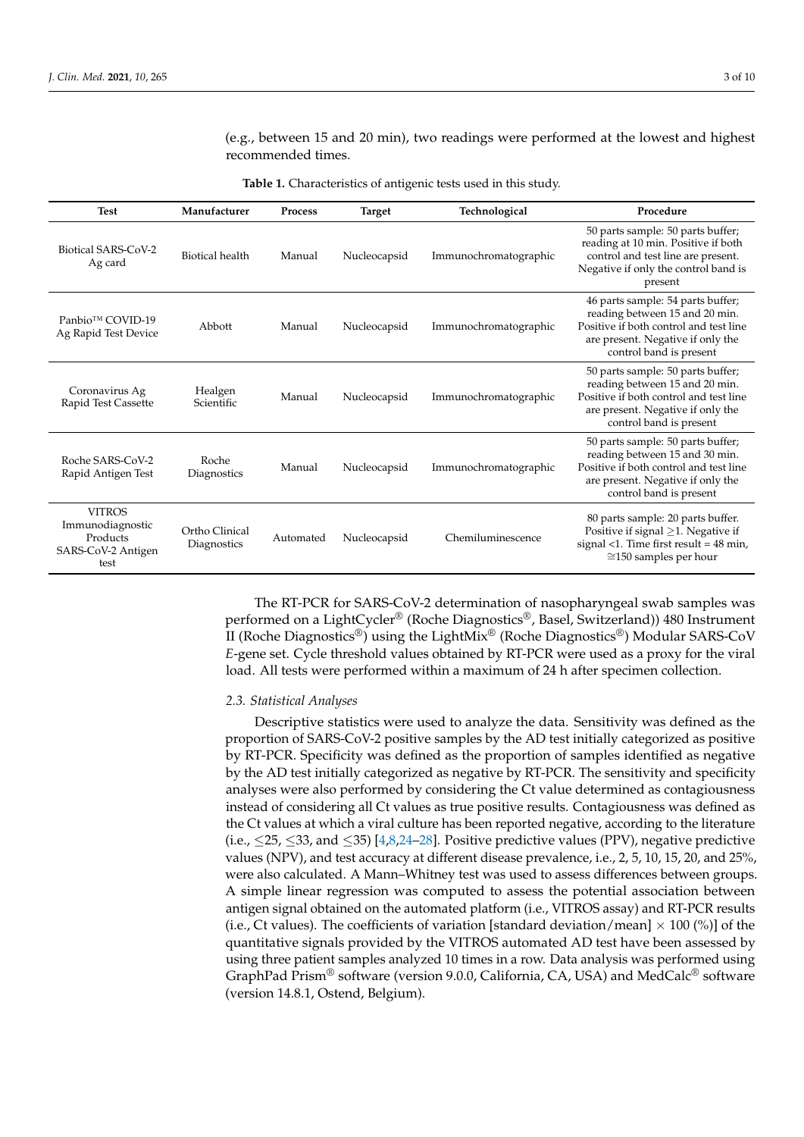(e.g., between 15 and 20 min), two readings were performed at the lowest and highest recommended times.

**Table 1.** Characteristics of antigenic tests used in this study.

<span id="page-2-0"></span>

| <b>Test</b>                                                                 | Manufacturer                  | <b>Process</b> | <b>Target</b> | Technological         | Procedure                                                                                                                                                                     |
|-----------------------------------------------------------------------------|-------------------------------|----------------|---------------|-----------------------|-------------------------------------------------------------------------------------------------------------------------------------------------------------------------------|
| Biotical SARS-CoV-2<br>Ag card                                              | <b>Biotical health</b>        | Manual         | Nucleocapsid  | Immunochromatographic | 50 parts sample: 50 parts buffer;<br>reading at 10 min. Positive if both<br>control and test line are present.<br>Negative if only the control band is<br>present             |
| Panbio™ COVID-19<br>Ag Rapid Test Device                                    | Abbott                        | Manual         | Nucleocapsid  | Immunochromatographic | 46 parts sample: 54 parts buffer;<br>reading between 15 and 20 min.<br>Positive if both control and test line<br>are present. Negative if only the<br>control band is present |
| Coronavirus Ag<br>Rapid Test Cassette                                       | Healgen<br>Scientific         | Manual         | Nucleocapsid  | Immunochromatographic | 50 parts sample: 50 parts buffer;<br>reading between 15 and 20 min.<br>Positive if both control and test line<br>are present. Negative if only the<br>control band is present |
| Roche SARS-CoV-2<br>Rapid Antigen Test                                      | Roche<br>Diagnostics          | Manual         | Nucleocapsid  | Immunochromatographic | 50 parts sample: 50 parts buffer;<br>reading between 15 and 30 min.<br>Positive if both control and test line<br>are present. Negative if only the<br>control band is present |
| <b>VITROS</b><br>Immunodiagnostic<br>Products<br>SARS-CoV-2 Antigen<br>test | Ortho Clinical<br>Diagnostics | Automated      | Nucleocapsid  | Chemiluminescence     | 80 parts sample: 20 parts buffer.<br>Positive if signal $\geq$ 1. Negative if<br>signal <1. Time first result = $48 \text{ min}$ ,<br>$\approx$ 150 samples per hour          |

The RT-PCR for SARS-CoV-2 determination of nasopharyngeal swab samples was performed on a LightCycler® (Roche Diagnostics®, Basel, Switzerland)) 480 Instrument II (Roche Diagnostics®) using the LightMix® (Roche Diagnostics®) Modular SARS-CoV *E*-gene set. Cycle threshold values obtained by RT-PCR were used as a proxy for the viral load. All tests were performed within a maximum of 24 h after specimen collection.

# *2.3. Statistical Analyses*

Descriptive statistics were used to analyze the data. Sensitivity was defined as the proportion of SARS-CoV-2 positive samples by the AD test initially categorized as positive by RT-PCR. Specificity was defined as the proportion of samples identified as negative by the AD test initially categorized as negative by RT-PCR. The sensitivity and specificity analyses were also performed by considering the Ct value determined as contagiousness instead of considering all Ct values as true positive results. Contagiousness was defined as the Ct values at which a viral culture has been reported negative, according to the literature (i.e.,  $\leq$  25,  $\leq$  33, and  $\leq$  35) [\[4,](#page-8-0)[8,](#page-8-4)[24–](#page-8-8)[28\]](#page-8-9). Positive predictive values (PPV), negative predictive values (NPV), and test accuracy at different disease prevalence, i.e., 2, 5, 10, 15, 20, and 25%, were also calculated. A Mann–Whitney test was used to assess differences between groups. A simple linear regression was computed to assess the potential association between antigen signal obtained on the automated platform (i.e., VITROS assay) and RT-PCR results (i.e., Ct values). The coefficients of variation [standard deviation/mean]  $\times$  100 (%)] of the quantitative signals provided by the VITROS automated AD test have been assessed by using three patient samples analyzed 10 times in a row. Data analysis was performed using GraphPad Prism® software (version 9.0.0, California, CA, USA) and MedCalc® software (version 14.8.1, Ostend, Belgium).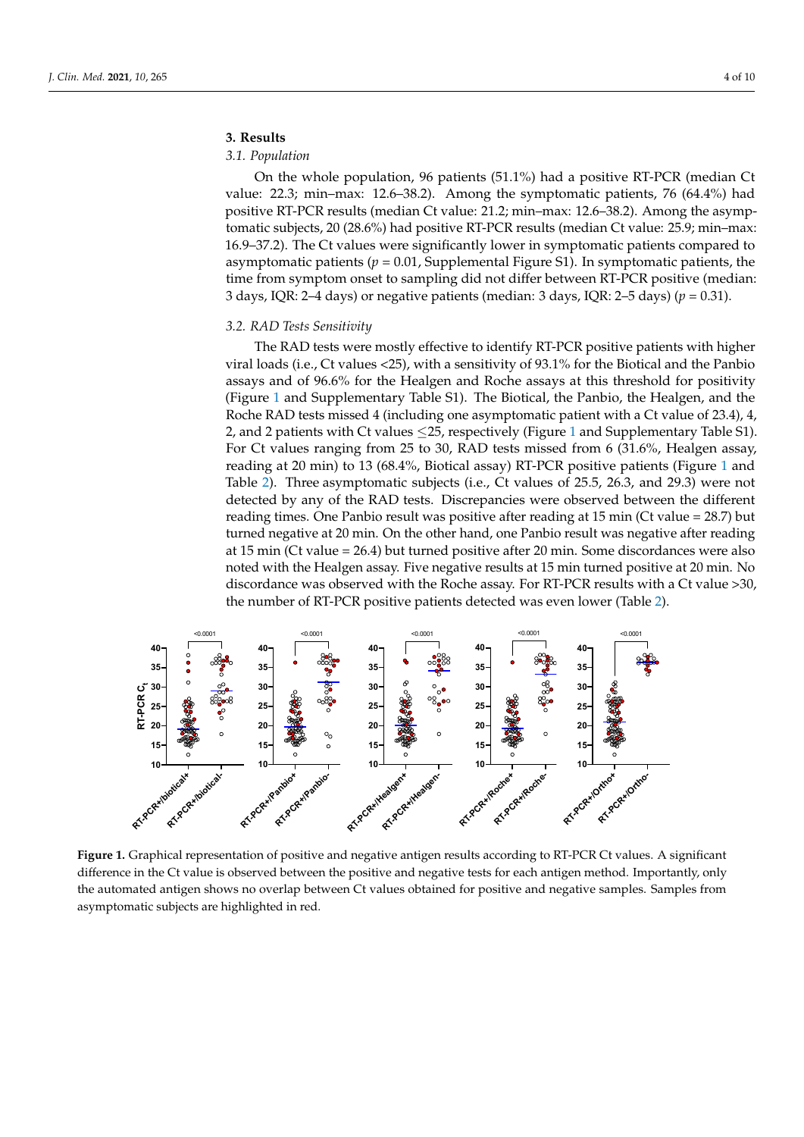# **3. Results** *3.1. Population*

#### *3.1. Population*  $\mathcal{O}_{\text{p}l}(u)$

On the whole population, 96 patients (51.1%) had a positive RT-PCR (median Ct value: 22.3; min–max: 12.6–38.2). Among the symptomatic patients, 76 (64.4%) had positive RT-PCR results (median Ct value: 21.2; min–max: 12.6–38.2). Among the asymptomatic subjects, 20 (28.6%) had positive RT-PCR results (median Ct value: 25.9; min–max: 16.9–37.2). The Ct values were significantly lower in symptomatic patients compared to asymptomatic patients ( $p = 0.01$ , Supplemental Figure S1). In symptomatic patients, the time from symptom onset to sampling did not differ between RT-PCR positive (median: 3 days, IQR: 2–4 days) or negative patients (median: 3 days, IQR: 2–5 days) ( $p = 0.31$ ).

MedCalc® software (version 14.8.1, Ostend, Belgium).

# *3.2. RAD Tests Sensitivity 3.2. RAD Tests Sensitivity*

The RAD tests were mostly effective to identify RT-PCR positive patients with higher The RAD tests were mostly effective to identify RT-PCR positive patients with higher viral loads (i.e., Ct values <25), with a sensitivity of 93.1% for the Biotical and the Panbio viral loads (i.e., Ct values <25), with a sensitivity of 93.1% for the Biotical and the Panbio assays and of 96.6% for the Healgen and Roche assays at this threshold for positivity disary's and or 90.0% for the Freatgen and Roene assays at this arteshold for positivity (Figure [1](#page-3-0) and Supplementary Table S1). The Biotical, the Panbio, the Healgen, and the A regard 1 and supplementary taste 31). The Brotear, the Fanbro, the Freagen, and the RAD tests missed 4 (including one asymptomatic patient with a Ct value of 23.4), 4, noche Ta [1](#page-3-0)D tests missed T (increasing one asymptomatic patient with a ct value of 25.1), 1,<br>2, and 2 patients with Ct values ≤25, respectively (Figure 1 and Supplementary Table S1).  $\frac{2}{100}$  and  $\frac{2}{100}$  patterns with St values  $\frac{2}{100}$ ,  $\frac{2}{100}$  respectively (rigard 1 and supprendicting) ratio  $\frac{2}{10}$ . reading at 20 min) to [1](#page-3-0)3 (68.4%, Biotical assay) RT-PCR positive patients (Figure 1 and Table 2). Table [2\)](#page-4-0). Three asymptomatic subjects (i.e., Ct values of 25.5, 26.3, and 29.3) were not detected by any of the RAD tests. Discrepancies were observed between the different detected by any of the RAD tests. reading times. One Panbio result was positive after reading at  $15 \text{ min (Ct value} = 28.7)$  but turned negative at 20 min. On the other hand, one Panbio result was negative after reading at 15 min (Ct value = 26.4) but turned positive after 20 min. Some discordances were also noted with the Healgen assay. Five negative results at 15 min turned positive at 20 min. No discordance was observed with the Roche assay. For RT-PCR results with a Ct value >30, the number of RT-PCR positive patients detected was even lower (Table [2\)](#page-4-0). number of RT-PCR positive patients detected was even lower (Table 2). assays and  $\frac{1}{2}$  for  $\frac{1}{2}$  for the Healgen and Roche assays at the Healgen and Roche associated for positivity (Fig. 1).

<span id="page-3-0"></span>

**Figure 1.** Graphical representation of positive and negative antigen results according to RT-PCR Ct values. A significant difference in the Ct value is observed between the positive and negative tests for each antigen method. Importantly, only the automated antigen shows no overlap between Ct values obtained for positive and negative samples. Samples from asymptomatic subjects are highlighted in red.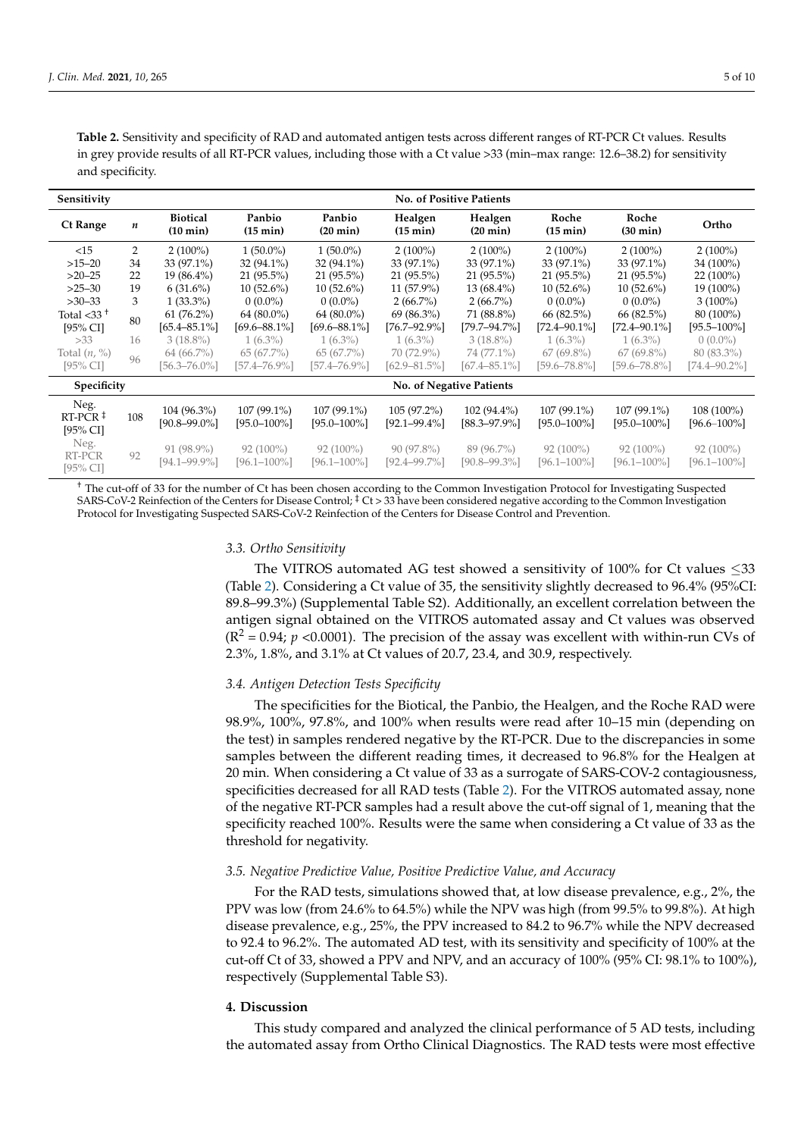| Sensitivity                                                   | <b>No. of Positive Patients</b> |                                       |                                   |                                 |                                    |                                    |                                 |                                   |                                 |  |  |
|---------------------------------------------------------------|---------------------------------|---------------------------------------|-----------------------------------|---------------------------------|------------------------------------|------------------------------------|---------------------------------|-----------------------------------|---------------------------------|--|--|
| <b>Ct Range</b>                                               | $\boldsymbol{n}$                | <b>Biotical</b><br>$(10 \text{ min})$ | Panbio<br>$(15 \text{ min})$      | Panbio<br>$(20 \text{ min})$    | Healgen<br>$(15 \text{ min})$      | Healgen<br>$(20 \text{ min})$      | Roche<br>$(15 \text{ min})$     | Roche<br>$(30 \text{ min})$       | Ortho                           |  |  |
| <15                                                           | 2                               | $2(100\%)$                            | $1(50.0\%)$                       | $1(50.0\%)$                     | $2(100\%)$                         | $2(100\%)$                         | $2(100\%)$                      | $2(100\%)$                        | $2(100\%)$                      |  |  |
| $>15-20$                                                      | 34                              | 33 (97.1%)                            | 32 (94.1%)                        | 32 (94.1%)                      | 33 (97.1%)                         | 33 (97.1%)                         | 33 (97.1%)                      | 33 (97.1%)                        | 34 (100%)                       |  |  |
| $>20-25$                                                      | 22                              | $19(86.4\%)$                          | 21 (95.5%)                        | 21 (95.5%)                      | 21 (95.5%)                         | $21(95.5\%)$                       | 21 (95.5%)                      | $21(95.5\%)$                      | $22(100\%)$                     |  |  |
| $>25-30$                                                      | 19                              | $6(31.6\%)$                           | $10(52.6\%)$                      | $10(52.6\%)$                    | $11(57.9\%)$                       | 13 (68.4%)                         | $10(52.6\%)$                    | $10(52.6\%)$                      | 19 (100%)                       |  |  |
| $>30-33$                                                      | 3                               | $1(33.3\%)$                           | $0(0.0\%)$                        | $0(0.0\%)$                      | $2(66.7\%)$                        | $2(66.7\%)$                        | $0(0.0\%)$                      | $0(0.0\%)$                        | $3(100\%)$                      |  |  |
| Total $<$ 33 $+$                                              | 80                              | $61 (76.2\%)$                         | 64 (80.0%)                        | 64 (80.0%)                      | 69 (86.3%)                         | 71 (88.8%)                         | 66 (82.5%)                      | 66 (82.5%)                        | 80 (100%)                       |  |  |
| [95% CI]                                                      |                                 | $[65.4 - 85.1\%]$                     | $[69.6 - 88.1\%]$                 | $[69.6 - 88.1\%]$               | [76.7–92.9%]                       | [79.7–94.7%]                       | [72.4–90.1%]                    | [72.4–90.1%]                      | $[95.5 - 100\%]$                |  |  |
| >33                                                           | 16                              | $3(18.8\%)$                           | $1(6.3\%)$                        | $1(6.3\%)$                      | $1(6.3\%)$                         | $3(18.8\%)$                        | $1(6.3\%)$                      | $1(6.3\%)$                        | $0(0.0\%)$                      |  |  |
| Total $(n, %)$                                                | 96                              | $64(66.7\%)$                          | 65(67.7%)                         | 65(67.7%)                       | 70 (72.9%)                         | 74 (77.1%)                         | $67(69.8\%)$                    | $67(69.8\%)$                      | 80 (83.3%)                      |  |  |
| [95% CI]                                                      |                                 | $[56.3 - 76.0\%]$                     | [57.4–76.9%]                      | [57.4–76.9%]                    | $[62.9 - 81.5\%]$                  | $[67.4 - 85.1\%]$                  | [59.6–78.8%]                    | [59.6–78.8%]                      | [74.4–90.2%]                    |  |  |
| Specificity                                                   |                                 | No. of Negative Patients              |                                   |                                 |                                    |                                    |                                 |                                   |                                 |  |  |
| Neg.<br>$RT-PCR$ <sup><math>\ddagger</math></sup><br>[95% CI] | 108                             | $104(96.3\%)$<br>$[90.8 - 99.0\%]$    | $107(99.1\%)$<br>$[95.0 - 100\%]$ | 107 (99.1%)<br>$[95.0 - 100\%]$ | $105(97.2\%)$<br>$[92.1 - 99.4\%]$ | $102(94.4\%)$<br>$[88.3 - 97.9\%]$ | 107 (99.1%)<br>$[95.0 - 100\%]$ | $107(99.1\%)$<br>$[95.0 - 100\%]$ | 108 (100%)<br>$[96.6 - 100\%]$  |  |  |
| Neg.<br>RT-PCR<br>[95% CI]                                    | 92                              | $91 (98.9\%)$<br>$[94.1 - 99.9\%]$    | $92(100\%)$<br>$[96.1 - 100\%]$   | $92(100\%)$<br>$[96.1 - 100\%]$ | $90(97.8\%)$<br>$[92.4 - 99.7\%]$  | 89 (96.7%)<br>[90.8–99.3%]         | $92(100\%)$<br>$[96.1 - 100\%]$ | $92(100\%)$<br>$[96.1 - 100\%]$   | $92(100\%)$<br>$[96.1 - 100\%]$ |  |  |

<span id="page-4-0"></span>**Table 2.** Sensitivity and specificity of RAD and automated antigen tests across different ranges of RT-PCR Ct values. Results in grey provide results of all RT-PCR values, including those with a Ct value >33 (min–max range: 12.6–38.2) for sensitivity and specificity.

<sup>†</sup> The cut-off of 33 for the number of Ct has been chosen according to the Common Investigation Protocol for Investigating Suspected SARS-CoV-2 Reinfection of the Centers for Disease Control; ‡ Ct > 33 have been considered negative according to the Common Investigation Protocol for Investigating Suspected SARS-CoV-2 Reinfection of the Centers for Disease Control and Prevention.

#### *3.3. Ortho Sensitivity*

The VITROS automated AG test showed a sensitivity of 100% for Ct values  $\leq$ 33 (Table [2\)](#page-4-0). Considering a Ct value of 35, the sensitivity slightly decreased to 96.4% (95%CI: 89.8–99.3%) (Supplemental Table S2). Additionally, an excellent correlation between the antigen signal obtained on the VITROS automated assay and Ct values was observed  $(R^2 = 0.94; p < 0.0001)$ . The precision of the assay was excellent with within-run CVs of 2.3%, 1.8%, and 3.1% at Ct values of 20.7, 23.4, and 30.9, respectively.

### *3.4. Antigen Detection Tests Specificity*

The specificities for the Biotical, the Panbio, the Healgen, and the Roche RAD were 98.9%, 100%, 97.8%, and 100% when results were read after 10–15 min (depending on the test) in samples rendered negative by the RT-PCR. Due to the discrepancies in some samples between the different reading times, it decreased to 96.8% for the Healgen at 20 min. When considering a Ct value of 33 as a surrogate of SARS-COV-2 contagiousness, specificities decreased for all RAD tests (Table [2\)](#page-4-0). For the VITROS automated assay, none of the negative RT-PCR samples had a result above the cut-off signal of 1, meaning that the specificity reached 100%. Results were the same when considering a Ct value of 33 as the threshold for negativity.

# *3.5. Negative Predictive Value, Positive Predictive Value, and Accuracy*

For the RAD tests, simulations showed that, at low disease prevalence, e.g., 2%, the PPV was low (from 24.6% to 64.5%) while the NPV was high (from 99.5% to 99.8%). At high disease prevalence, e.g., 25%, the PPV increased to 84.2 to 96.7% while the NPV decreased to 92.4 to 96.2%. The automated AD test, with its sensitivity and specificity of 100% at the cut-off Ct of 33, showed a PPV and NPV, and an accuracy of 100% (95% CI: 98.1% to 100%), respectively (Supplemental Table S3).

### **4. Discussion**

This study compared and analyzed the clinical performance of 5 AD tests, including the automated assay from Ortho Clinical Diagnostics. The RAD tests were most effective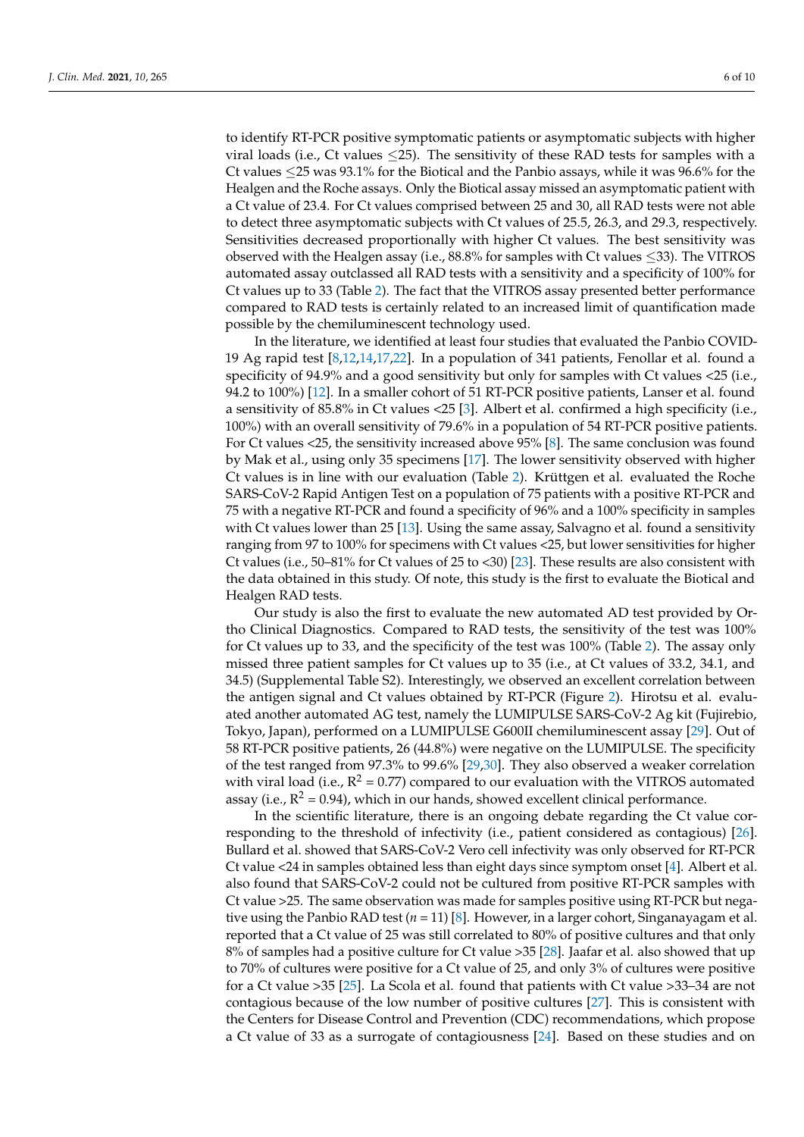to identify RT-PCR positive symptomatic patients or asymptomatic subjects with higher viral loads (i.e., Ct values  $\leq$ 25). The sensitivity of these RAD tests for samples with a Ct values ≤25 was 93.1% for the Biotical and the Panbio assays, while it was 96.6% for the Healgen and the Roche assays. Only the Biotical assay missed an asymptomatic patient with a Ct value of 23.4. For Ct values comprised between 25 and 30, all RAD tests were not able to detect three asymptomatic subjects with Ct values of 25.5, 26.3, and 29.3, respectively. Sensitivities decreased proportionally with higher Ct values. The best sensitivity was observed with the Healgen assay (i.e.,  $88.8\%$  for samples with Ct values  $\leq$ 33). The VITROS automated assay outclassed all RAD tests with a sensitivity and a specificity of 100% for Ct values up to 33 (Table [2\)](#page-4-0). The fact that the VITROS assay presented better performance compared to RAD tests is certainly related to an increased limit of quantification made possible by the chemiluminescent technology used.

In the literature, we identified at least four studies that evaluated the Panbio COVID-19 Ag rapid test [\[8](#page-8-4)[,12](#page-8-10)[,14](#page-8-11)[,17](#page-8-12)[,22\]](#page-8-13). In a population of 341 patients, Fenollar et al. found a specificity of 94.9% and a good sensitivity but only for samples with Ct values <25 (i.e., 94.2 to 100%) [\[12\]](#page-8-10). In a smaller cohort of 51 RT-PCR positive patients, Lanser et al. found a sensitivity of 85.8% in Ct values <25 [\[3\]](#page-7-2). Albert et al. confirmed a high specificity (i.e., 100%) with an overall sensitivity of 79.6% in a population of 54 RT-PCR positive patients. For Ct values <25, the sensitivity increased above 95% [\[8\]](#page-8-4). The same conclusion was found by Mak et al., using only 35 specimens [\[17\]](#page-8-12). The lower sensitivity observed with higher Ct values is in line with our evaluation (Table [2\)](#page-4-0). Krüttgen et al. evaluated the Roche SARS-CoV-2 Rapid Antigen Test on a population of 75 patients with a positive RT-PCR and 75 with a negative RT-PCR and found a specificity of 96% and a 100% specificity in samples with Ct values lower than 25 [\[13\]](#page-8-14). Using the same assay, Salvagno et al. found a sensitivity ranging from 97 to 100% for specimens with Ct values <25, but lower sensitivities for higher Ct values (i.e., 50–81% for Ct values of 25 to <30) [\[23\]](#page-8-5). These results are also consistent with the data obtained in this study. Of note, this study is the first to evaluate the Biotical and Healgen RAD tests.

Our study is also the first to evaluate the new automated AD test provided by Ortho Clinical Diagnostics. Compared to RAD tests, the sensitivity of the test was 100% for Ct values up to 33, and the specificity of the test was 100% (Table [2\)](#page-4-0). The assay only missed three patient samples for Ct values up to 35 (i.e., at Ct values of 33.2, 34.1, and 34.5) (Supplemental Table S2). Interestingly, we observed an excellent correlation between the antigen signal and Ct values obtained by RT-PCR (Figure [2\)](#page-6-0). Hirotsu et al. evaluated another automated AG test, namely the LUMIPULSE SARS-CoV-2 Ag kit (Fujirebio, Tokyo, Japan), performed on a LUMIPULSE G600II chemiluminescent assay [\[29\]](#page-9-0). Out of 58 RT-PCR positive patients, 26 (44.8%) were negative on the LUMIPULSE. The specificity of the test ranged from 97.3% to 99.6% [\[29,](#page-9-0)[30\]](#page-9-1). They also observed a weaker correlation with viral load (i.e.,  $R^2 = 0.77$ ) compared to our evaluation with the VITROS automated assay (i.e.,  $R^2$  = 0.94), which in our hands, showed excellent clinical performance.

In the scientific literature, there is an ongoing debate regarding the Ct value corresponding to the threshold of infectivity (i.e., patient considered as contagious) [\[26\]](#page-8-15). Bullard et al. showed that SARS-CoV-2 Vero cell infectivity was only observed for RT-PCR Ct value <24 in samples obtained less than eight days since symptom onset [\[4\]](#page-8-0). Albert et al. also found that SARS-CoV-2 could not be cultured from positive RT-PCR samples with Ct value >25. The same observation was made for samples positive using RT-PCR but negative using the Panbio RAD test (*n* = 11) [\[8\]](#page-8-4). However, in a larger cohort, Singanayagam et al. reported that a Ct value of 25 was still correlated to 80% of positive cultures and that only 8% of samples had a positive culture for Ct value >35 [\[28\]](#page-8-9). Jaafar et al. also showed that up to 70% of cultures were positive for a Ct value of 25, and only 3% of cultures were positive for a Ct value >35 [\[25\]](#page-8-16). La Scola et al. found that patients with Ct value >33–34 are not contagious because of the low number of positive cultures [\[27\]](#page-8-17). This is consistent with the Centers for Disease Control and Prevention (CDC) recommendations, which propose a Ct value of 33 as a surrogate of contagiousness [\[24\]](#page-8-8). Based on these studies and on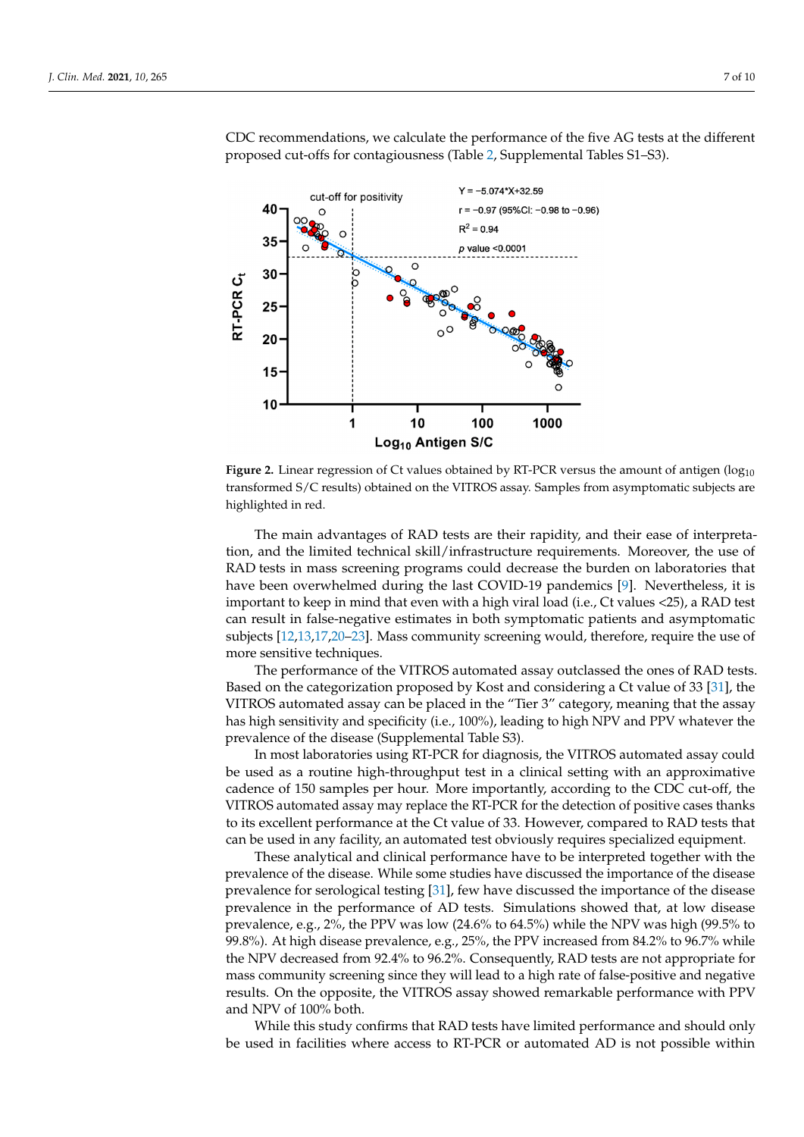<span id="page-6-0"></span>

CDC recommendations, we calculate the performance of the five AG tests at the different proposed cut-offs for contagiousness (Table [2,](#page-4-0) Supplemental Tables S1–S3).

Figure 2. <u>Country 2. **Example 2.** Country of Ct values of Ct values of antigens of antigens of antigens of antigens of antigens (continued by  $\frac{1}{2}$ ) of antigens of antigens of antigens of antigens of antigens of antig</u> transformed S/C results) obtained on the VITROS assay. Samples from asymptomatic subjects are transformed S/C results) obtained on the VITROS assay. Samples from asymptomatic subjects are highlighted in red. highlighted in red. Figure 2. Linear regression of Ct values obtained by RT-PCR versus the amount of antigen (log<sub>10</sub>)

tion, and the limited technical skill/infrastructure requirements. Moreover, the use of RAD tests in mass screening programs could decrease the burden on laboratories that have been overwhelmed during the last COVID-19 pandemics [\[9\]](#page-8-18). Nevertheless, it is important to keep in mind that even with a high viral load (i.e., Ct values <25), a RAD test can result in false-negative estimates in both symptomatic patients and asymptomatic subjects [\[12,](#page-8-10)[13](#page-8-14)[,17](#page-8-12)[,20](#page-8-19)-23]. Mass community screening would, therefore, require the use of but negative using the Panabio Rad test (*n* = 11) a larger contract (*n* = 11) a larger contract (*n* = 11) a larger contract (*n* = 11) a larger contract (*n* = 11) a larger contract (*n* = 11) a larger contract (*n* = 1 The main advantages of RAD tests are their rapidity, and their ease of interpreta-

The performance of the VITROS automated assay outclassed the ones of RAD tests. Based on the categorization proposed by Kost and considering a Ct value of 33 [31], the VITROS automated assay can be placed in the "Tier 3" category, meaning that the assay has high sensitivity and specificity (i.e., 100%), leading to high NPV and PPV whatever the prevalence of the disease (Supplemental Table S3).

In most laboratories using RT-PCR for diagnosis, the VITROS automated assay could be used as a routine high-throughput test in a clinical setting with an approximative cadence of 150 samples per hour. More importantly, according to the CDC cut-off, the VITROS automated assay may replace the RT-PCR for the detection of positive cases thanks to its excellent performance at the Ct value of 33. However, compared to RAD tests that can be used in any facility, an automated test obviously requires specialized equipment.

These analytical and clinical performance have to be interpreted together with the prevalence of the disease. While some studies have discussed the importance of the disease prevalence for serological testing  $[31]$ , few have discussed the importance of the disease prevalence in the performance of AD tests. Simulations showed that, at low disease prevalence, e.g., 2%, the PPV was low (24.6% to 64.5%) while the NPV was high (99.5% to 99.8%). At high disease prevalence, e.g., 25%, the PPV increased from 84.2% to 96.7% while the NPV decreased from 92.4% to 96.2%. Consequently, RAD tests are not appropriate for mass community screening since they will lead to a high rate of false-positive and negative results. On the opposite, the VITROS assay showed remarkable performance with PPV and NPV of  $100\%$  both.

While this study confirms that RAD tests have limited performance and should only be used in facilities where access to RT-PCR or automated AD is not possible within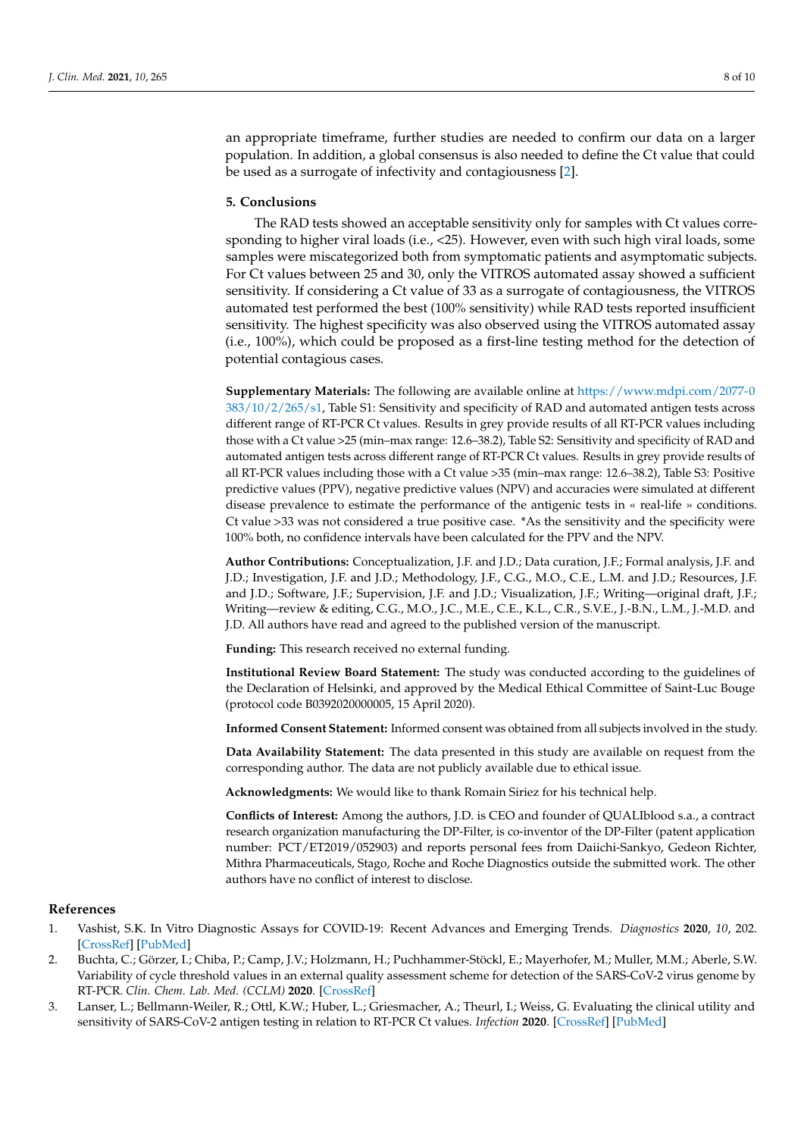an appropriate timeframe, further studies are needed to confirm our data on a larger population. In addition, a global consensus is also needed to define the Ct value that could be used as a surrogate of infectivity and contagiousness [\[2\]](#page-7-1).

### **5. Conclusions**

The RAD tests showed an acceptable sensitivity only for samples with Ct values corresponding to higher viral loads (i.e., <25). However, even with such high viral loads, some samples were miscategorized both from symptomatic patients and asymptomatic subjects. For Ct values between 25 and 30, only the VITROS automated assay showed a sufficient sensitivity. If considering a Ct value of 33 as a surrogate of contagiousness, the VITROS automated test performed the best (100% sensitivity) while RAD tests reported insufficient sensitivity. The highest specificity was also observed using the VITROS automated assay (i.e., 100%), which could be proposed as a first-line testing method for the detection of potential contagious cases.

**Supplementary Materials:** The following are available online at [https://www.mdpi.com/2077-0](https://www.mdpi.com/2077-0383/10/2/265/s1) [383/10/2/265/s1,](https://www.mdpi.com/2077-0383/10/2/265/s1) Table S1: Sensitivity and specificity of RAD and automated antigen tests across different range of RT-PCR Ct values. Results in grey provide results of all RT-PCR values including those with a Ct value >25 (min–max range: 12.6–38.2), Table S2: Sensitivity and specificity of RAD and automated antigen tests across different range of RT-PCR Ct values. Results in grey provide results of all RT-PCR values including those with a Ct value >35 (min–max range: 12.6–38.2), Table S3: Positive predictive values (PPV), negative predictive values (NPV) and accuracies were simulated at different disease prevalence to estimate the performance of the antigenic tests in « real-life » conditions. Ct value >33 was not considered a true positive case. \*As the sensitivity and the specificity were 100% both, no confidence intervals have been calculated for the PPV and the NPV.

**Author Contributions:** Conceptualization, J.F. and J.D.; Data curation, J.F.; Formal analysis, J.F. and J.D.; Investigation, J.F. and J.D.; Methodology, J.F., C.G., M.O., C.E., L.M. and J.D.; Resources, J.F. and J.D.; Software, J.F.; Supervision, J.F. and J.D.; Visualization, J.F.; Writing—original draft, J.F.; Writing—review & editing, C.G., M.O., J.C., M.E., C.E., K.L., C.R., S.V.E., J.-B.N., L.M., J.-M.D. and J.D. All authors have read and agreed to the published version of the manuscript.

**Funding:** This research received no external funding.

**Institutional Review Board Statement:** The study was conducted according to the guidelines of the Declaration of Helsinki, and approved by the Medical Ethical Committee of Saint-Luc Bouge (protocol code B0392020000005, 15 April 2020).

**Informed Consent Statement:** Informed consent was obtained from all subjects involved in the study.

**Data Availability Statement:** The data presented in this study are available on request from the corresponding author. The data are not publicly available due to ethical issue.

**Acknowledgments:** We would like to thank Romain Siriez for his technical help.

**Conflicts of Interest:** Among the authors, J.D. is CEO and founder of QUALIblood s.a., a contract research organization manufacturing the DP-Filter, is co-inventor of the DP-Filter (patent application number: PCT/ET2019/052903) and reports personal fees from Daiichi-Sankyo, Gedeon Richter, Mithra Pharmaceuticals, Stago, Roche and Roche Diagnostics outside the submitted work. The other authors have no conflict of interest to disclose.

# **References**

- <span id="page-7-0"></span>1. Vashist, S.K. In Vitro Diagnostic Assays for COVID-19: Recent Advances and Emerging Trends. *Diagnostics* **2020**, *10*, 202. [\[CrossRef\]](http://doi.org/10.3390/diagnostics10040202) [\[PubMed\]](http://www.ncbi.nlm.nih.gov/pubmed/32260471)
- <span id="page-7-1"></span>2. Buchta, C.; Görzer, I.; Chiba, P.; Camp, J.V.; Holzmann, H.; Puchhammer-Stöckl, E.; Mayerhofer, M.; Muller, M.M.; Aberle, S.W. Variability of cycle threshold values in an external quality assessment scheme for detection of the SARS-CoV-2 virus genome by RT-PCR. *Clin. Chem. Lab. Med. (CCLM)* **2020**. [\[CrossRef\]](http://doi.org/10.1515/cclm-2020-1602)
- <span id="page-7-2"></span>3. Lanser, L.; Bellmann-Weiler, R.; Ottl, K.W.; Huber, L.; Griesmacher, A.; Theurl, I.; Weiss, G. Evaluating the clinical utility and sensitivity of SARS-CoV-2 antigen testing in relation to RT-PCR Ct values. *Infection* **2020**. [\[CrossRef\]](http://doi.org/10.1007/s15010-020-01542-0) [\[PubMed\]](http://www.ncbi.nlm.nih.gov/pubmed/33185807)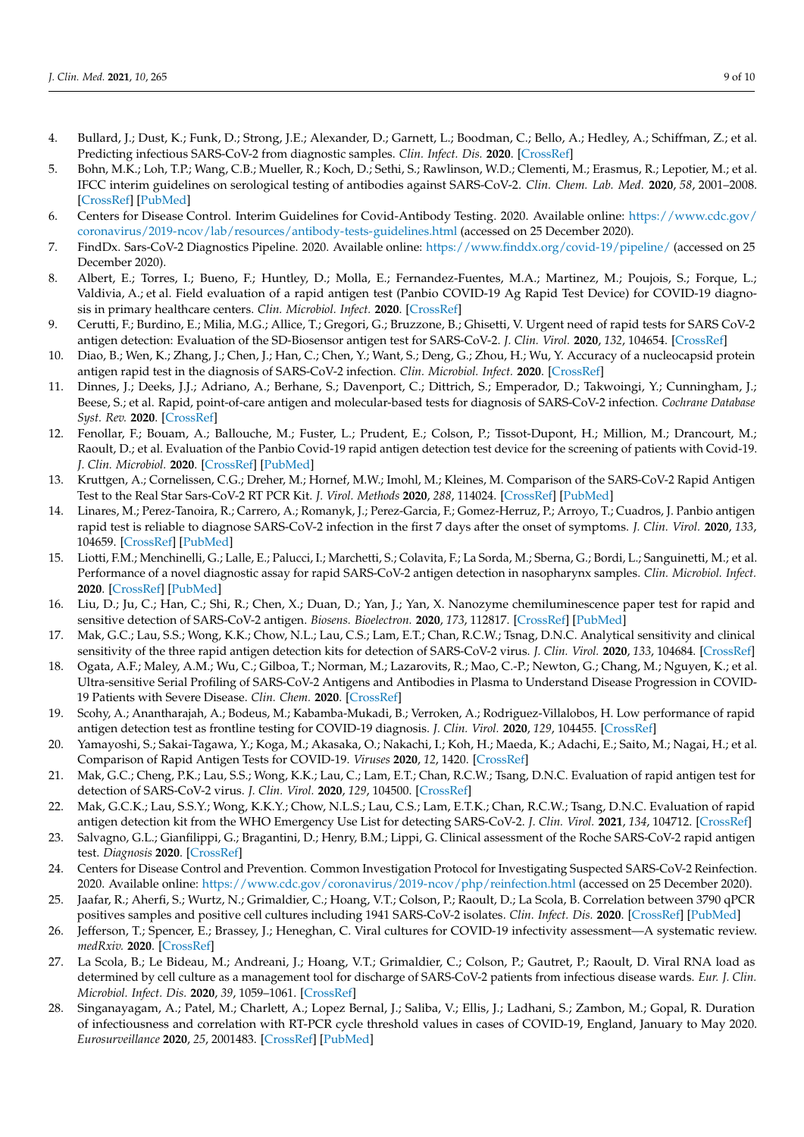- <span id="page-8-0"></span>4. Bullard, J.; Dust, K.; Funk, D.; Strong, J.E.; Alexander, D.; Garnett, L.; Boodman, C.; Bello, A.; Hedley, A.; Schiffman, Z.; et al. Predicting infectious SARS-CoV-2 from diagnostic samples. *Clin. Infect. Dis.* **2020**. [\[CrossRef\]](http://doi.org/10.1093/cid/ciaa638)
- <span id="page-8-1"></span>5. Bohn, M.K.; Loh, T.P.; Wang, C.B.; Mueller, R.; Koch, D.; Sethi, S.; Rawlinson, W.D.; Clementi, M.; Erasmus, R.; Lepotier, M.; et al. IFCC interim guidelines on serological testing of antibodies against SARS-CoV-2. *Clin. Chem. Lab. Med.* **2020**, *58*, 2001–2008. [\[CrossRef\]](http://doi.org/10.1515/cclm-2020-1413) [\[PubMed\]](http://www.ncbi.nlm.nih.gov/pubmed/33027043)
- <span id="page-8-2"></span>6. Centers for Disease Control. Interim Guidelines for Covid-Antibody Testing. 2020. Available online: [https://www.cdc.gov/](https://www.cdc.gov/coronavirus/2019-ncov/lab/resources/antibody-tests-guidelines.html) [coronavirus/2019-ncov/lab/resources/antibody-tests-guidelines.html](https://www.cdc.gov/coronavirus/2019-ncov/lab/resources/antibody-tests-guidelines.html) (accessed on 25 December 2020).
- <span id="page-8-3"></span>7. FindDx. Sars-CoV-2 Diagnostics Pipeline. 2020. Available online: <https://www.finddx.org/covid-19/pipeline/> (accessed on 25 December 2020).
- <span id="page-8-4"></span>8. Albert, E.; Torres, I.; Bueno, F.; Huntley, D.; Molla, E.; Fernandez-Fuentes, M.A.; Martinez, M.; Poujois, S.; Forque, L.; Valdivia, A.; et al. Field evaluation of a rapid antigen test (Panbio COVID-19 Ag Rapid Test Device) for COVID-19 diagnosis in primary healthcare centers. *Clin. Microbiol. Infect.* **2020**. [\[CrossRef\]](http://doi.org/10.1016/j.cmi.2020.11.004)
- <span id="page-8-18"></span>9. Cerutti, F.; Burdino, E.; Milia, M.G.; Allice, T.; Gregori, G.; Bruzzone, B.; Ghisetti, V. Urgent need of rapid tests for SARS CoV-2 antigen detection: Evaluation of the SD-Biosensor antigen test for SARS-CoV-2. *J. Clin. Virol.* **2020**, *132*, 104654. [\[CrossRef\]](http://doi.org/10.1016/j.jcv.2020.104654)
- 10. Diao, B.; Wen, K.; Zhang, J.; Chen, J.; Han, C.; Chen, Y.; Want, S.; Deng, G.; Zhou, H.; Wu, Y. Accuracy of a nucleocapsid protein antigen rapid test in the diagnosis of SARS-CoV-2 infection. *Clin. Microbiol. Infect.* **2020**. [\[CrossRef\]](http://doi.org/10.1016/j.cmi.2020.09.057)
- <span id="page-8-6"></span>11. Dinnes, J.; Deeks, J.J.; Adriano, A.; Berhane, S.; Davenport, C.; Dittrich, S.; Emperador, D.; Takwoingi, Y.; Cunningham, J.; Beese, S.; et al. Rapid, point-of-care antigen and molecular-based tests for diagnosis of SARS-CoV-2 infection. *Cochrane Database Syst. Rev.* **2020**. [\[CrossRef\]](http://doi.org/10.1002/14651858)
- <span id="page-8-10"></span>12. Fenollar, F.; Bouam, A.; Ballouche, M.; Fuster, L.; Prudent, E.; Colson, P.; Tissot-Dupont, H.; Million, M.; Drancourt, M.; Raoult, D.; et al. Evaluation of the Panbio Covid-19 rapid antigen detection test device for the screening of patients with Covid-19. *J. Clin. Microbiol.* **2020**. [\[CrossRef\]](http://doi.org/10.1128/JCM.02589-20) [\[PubMed\]](http://www.ncbi.nlm.nih.gov/pubmed/33139420)
- <span id="page-8-14"></span>13. Kruttgen, A.; Cornelissen, C.G.; Dreher, M.; Hornef, M.W.; Imohl, M.; Kleines, M. Comparison of the SARS-CoV-2 Rapid Antigen Test to the Real Star Sars-CoV-2 RT PCR Kit. *J. Virol. Methods* **2020**, *288*, 114024. [\[CrossRef\]](http://doi.org/10.1016/j.jviromet.2020.114024) [\[PubMed\]](http://www.ncbi.nlm.nih.gov/pubmed/33227341)
- <span id="page-8-11"></span>14. Linares, M.; Perez-Tanoira, R.; Carrero, A.; Romanyk, J.; Perez-Garcia, F.; Gomez-Herruz, P.; Arroyo, T.; Cuadros, J. Panbio antigen rapid test is reliable to diagnose SARS-CoV-2 infection in the first 7 days after the onset of symptoms. *J. Clin. Virol.* **2020**, *133*, 104659. [\[CrossRef\]](http://doi.org/10.1016/j.jcv.2020.104659) [\[PubMed\]](http://www.ncbi.nlm.nih.gov/pubmed/33160179)
- 15. Liotti, F.M.; Menchinelli, G.; Lalle, E.; Palucci, I.; Marchetti, S.; Colavita, F.; La Sorda, M.; Sberna, G.; Bordi, L.; Sanguinetti, M.; et al. Performance of a novel diagnostic assay for rapid SARS-CoV-2 antigen detection in nasopharynx samples. *Clin. Microbiol. Infect.* **2020**. [\[CrossRef\]](http://doi.org/10.1016/j.cmi.2020.09.030) [\[PubMed\]](http://www.ncbi.nlm.nih.gov/pubmed/32979567)
- 16. Liu, D.; Ju, C.; Han, C.; Shi, R.; Chen, X.; Duan, D.; Yan, J.; Yan, X. Nanozyme chemiluminescence paper test for rapid and sensitive detection of SARS-CoV-2 antigen. *Biosens. Bioelectron.* **2020**, *173*, 112817. [\[CrossRef\]](http://doi.org/10.1016/j.bios.2020.112817) [\[PubMed\]](http://www.ncbi.nlm.nih.gov/pubmed/33221508)
- <span id="page-8-12"></span>17. Mak, G.C.; Lau, S.S.; Wong, K.K.; Chow, N.L.; Lau, C.S.; Lam, E.T.; Chan, R.C.W.; Tsnag, D.N.C. Analytical sensitivity and clinical sensitivity of the three rapid antigen detection kits for detection of SARS-CoV-2 virus. *J. Clin. Virol.* **2020**, *133*, 104684. [\[CrossRef\]](http://doi.org/10.1016/j.jcv.2020.104684)
- <span id="page-8-7"></span>18. Ogata, A.F.; Maley, A.M.; Wu, C.; Gilboa, T.; Norman, M.; Lazarovits, R.; Mao, C.-P.; Newton, G.; Chang, M.; Nguyen, K.; et al. Ultra-sensitive Serial Profiling of SARS-CoV-2 Antigens and Antibodies in Plasma to Understand Disease Progression in COVID-19 Patients with Severe Disease. *Clin. Chem.* **2020**. [\[CrossRef\]](http://doi.org/10.1093/clinchem/hvaa213)
- 19. Scohy, A.; Anantharajah, A.; Bodeus, M.; Kabamba-Mukadi, B.; Verroken, A.; Rodriguez-Villalobos, H. Low performance of rapid antigen detection test as frontline testing for COVID-19 diagnosis. *J. Clin. Virol.* **2020**, *129*, 104455. [\[CrossRef\]](http://doi.org/10.1016/j.jcv.2020.104455)
- <span id="page-8-19"></span>20. Yamayoshi, S.; Sakai-Tagawa, Y.; Koga, M.; Akasaka, O.; Nakachi, I.; Koh, H.; Maeda, K.; Adachi, E.; Saito, M.; Nagai, H.; et al. Comparison of Rapid Antigen Tests for COVID-19. *Viruses* **2020**, *12*, 1420. [\[CrossRef\]](http://doi.org/10.3390/v12121420)
- 21. Mak, G.C.; Cheng, P.K.; Lau, S.S.; Wong, K.K.; Lau, C.; Lam, E.T.; Chan, R.C.W.; Tsang, D.N.C. Evaluation of rapid antigen test for detection of SARS-CoV-2 virus. *J. Clin. Virol.* **2020**, *129*, 104500. [\[CrossRef\]](http://doi.org/10.1016/j.jcv.2020.104500)
- <span id="page-8-13"></span>22. Mak, G.C.K.; Lau, S.S.Y.; Wong, K.K.Y.; Chow, N.L.S.; Lau, C.S.; Lam, E.T.K.; Chan, R.C.W.; Tsang, D.N.C. Evaluation of rapid antigen detection kit from the WHO Emergency Use List for detecting SARS-CoV-2. *J. Clin. Virol.* **2021**, *134*, 104712. [\[CrossRef\]](http://doi.org/10.1016/j.jcv.2020.104712)
- <span id="page-8-5"></span>23. Salvagno, G.L.; Gianfilippi, G.; Bragantini, D.; Henry, B.M.; Lippi, G. Clinical assessment of the Roche SARS-CoV-2 rapid antigen test. *Diagnosis* **2020**. [\[CrossRef\]](http://doi.org/10.2139/ssrn.3746520)
- <span id="page-8-8"></span>24. Centers for Disease Control and Prevention. Common Investigation Protocol for Investigating Suspected SARS-CoV-2 Reinfection. 2020. Available online: <https://www.cdc.gov/coronavirus/2019-ncov/php/reinfection.html> (accessed on 25 December 2020).
- <span id="page-8-16"></span>25. Jaafar, R.; Aherfi, S.; Wurtz, N.; Grimaldier, C.; Hoang, V.T.; Colson, P.; Raoult, D.; La Scola, B. Correlation between 3790 qPCR positives samples and positive cell cultures including 1941 SARS-CoV-2 isolates. *Clin. Infect. Dis.* **2020**. [\[CrossRef\]](http://doi.org/10.1093/cid/ciaa1491) [\[PubMed\]](http://www.ncbi.nlm.nih.gov/pubmed/32986798)
- <span id="page-8-15"></span>26. Jefferson, T.; Spencer, E.; Brassey, J.; Heneghan, C. Viral cultures for COVID-19 infectivity assessment—A systematic review. *medRxiv.* **2020**. [\[CrossRef\]](http://doi.org/10.1101/2020.08.04.20167932)
- <span id="page-8-17"></span>27. La Scola, B.; Le Bideau, M.; Andreani, J.; Hoang, V.T.; Grimaldier, C.; Colson, P.; Gautret, P.; Raoult, D. Viral RNA load as determined by cell culture as a management tool for discharge of SARS-CoV-2 patients from infectious disease wards. *Eur. J. Clin. Microbiol. Infect. Dis.* **2020**, *39*, 1059–1061. [\[CrossRef\]](http://doi.org/10.1007/s10096-020-03913-9)
- <span id="page-8-9"></span>28. Singanayagam, A.; Patel, M.; Charlett, A.; Lopez Bernal, J.; Saliba, V.; Ellis, J.; Ladhani, S.; Zambon, M.; Gopal, R. Duration of infectiousness and correlation with RT-PCR cycle threshold values in cases of COVID-19, England, January to May 2020. *Eurosurveillance* **2020**, *25*, 2001483. [\[CrossRef\]](http://doi.org/10.2807/1560-7917.ES.2020.25.32.2001483) [\[PubMed\]](http://www.ncbi.nlm.nih.gov/pubmed/32794447)